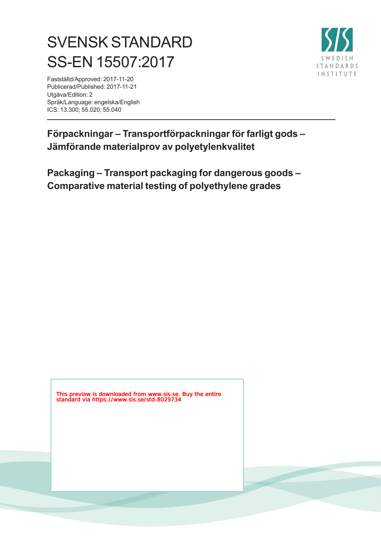# SVENSK STANDARD SS-EN 15507:2017



Fastställd/Approved: 2017-11-20 Publicerad/Published: 2017-11-21 Utgåva/Edition: 2 Språk/Language: engelska/English ICS: 13.300; 55.020; 55.040

**Förpackningar – Transportförpackningar för farligt gods – Jämförande materialprov av polyetylenkvalitet**

**Packaging – Transport packaging for dangerous goods – Comparative material testing of polyethylene grades**

This preview is downloaded from www.sis.se. Buy the entire standard via https://www.sis.se/std-8029734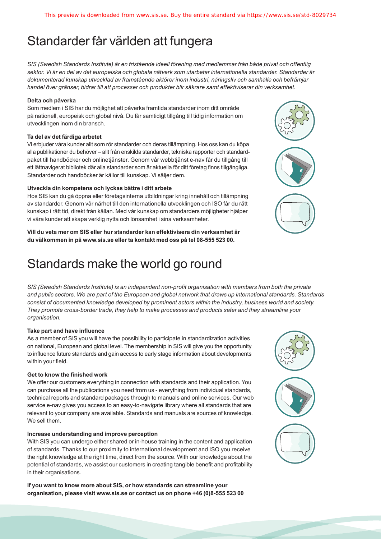# Standarder får världen att fungera

*SIS (Swedish Standards Institute) är en fristående ideell förening med medlemmar från både privat och offentlig sektor. Vi är en del av det europeiska och globala nätverk som utarbetar internationella standarder. Standarder är dokumenterad kunskap utvecklad av framstående aktörer inom industri, näringsliv och samhälle och befrämjar handel över gränser, bidrar till att processer och produkter blir säkrare samt effektiviserar din verksamhet.* 

#### **Delta och påverka**

Som medlem i SIS har du möjlighet att påverka framtida standarder inom ditt område på nationell, europeisk och global nivå. Du får samtidigt tillgång till tidig information om utvecklingen inom din bransch.

#### **Ta del av det färdiga arbetet**

Vi erbjuder våra kunder allt som rör standarder och deras tillämpning. Hos oss kan du köpa alla publikationer du behöver – allt från enskilda standarder, tekniska rapporter och standardpaket till handböcker och onlinetjänster. Genom vår webbtjänst e-nav får du tillgång till ett lättnavigerat bibliotek där alla standarder som är aktuella för ditt företag finns tillgängliga. Standarder och handböcker är källor till kunskap. Vi säljer dem.

#### **Utveckla din kompetens och lyckas bättre i ditt arbete**

Hos SIS kan du gå öppna eller företagsinterna utbildningar kring innehåll och tillämpning av standarder. Genom vår närhet till den internationella utvecklingen och ISO får du rätt kunskap i rätt tid, direkt från källan. Med vår kunskap om standarders möjligheter hjälper vi våra kunder att skapa verklig nytta och lönsamhet i sina verksamheter.

**Vill du veta mer om SIS eller hur standarder kan effektivisera din verksamhet är du välkommen in på www.sis.se eller ta kontakt med oss på tel 08-555 523 00.**

# Standards make the world go round

*SIS (Swedish Standards Institute) is an independent non-profit organisation with members from both the private and public sectors. We are part of the European and global network that draws up international standards. Standards consist of documented knowledge developed by prominent actors within the industry, business world and society. They promote cross-border trade, they help to make processes and products safer and they streamline your organisation.*

#### **Take part and have influence**

As a member of SIS you will have the possibility to participate in standardization activities on national, European and global level. The membership in SIS will give you the opportunity to influence future standards and gain access to early stage information about developments within your field.

#### **Get to know the finished work**

We offer our customers everything in connection with standards and their application. You can purchase all the publications you need from us - everything from individual standards, technical reports and standard packages through to manuals and online services. Our web service e-nav gives you access to an easy-to-navigate library where all standards that are relevant to your company are available. Standards and manuals are sources of knowledge. We sell them.

#### **Increase understanding and improve perception**

With SIS you can undergo either shared or in-house training in the content and application of standards. Thanks to our proximity to international development and ISO you receive the right knowledge at the right time, direct from the source. With our knowledge about the potential of standards, we assist our customers in creating tangible benefit and profitability in their organisations.

**If you want to know more about SIS, or how standards can streamline your organisation, please visit www.sis.se or contact us on phone +46 (0)8-555 523 00**



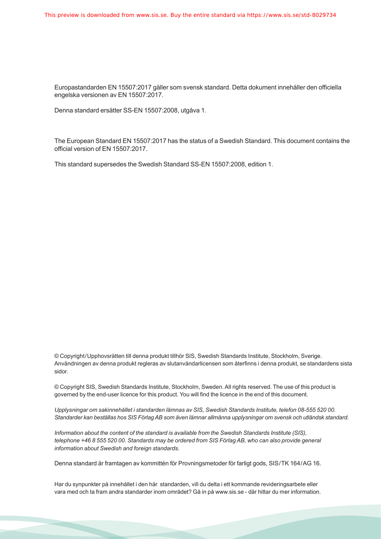Europastandarden EN 15507:2017 gäller som svensk standard. Detta dokument innehåller den officiella engelska versionen av EN 15507:2017.

Denna standard ersätter SS-EN 15507:2008, utgåva 1.

The European Standard EN 15507:2017 has the status of a Swedish Standard. This document contains the official version of EN 15507:2017.

This standard supersedes the Swedish Standard SS-EN 15507:2008, edition 1.

© Copyright / Upphovsrätten till denna produkt tillhör SIS, Swedish Standards Institute, Stockholm, Sverige. Användningen av denna produkt regleras av slutanvändarlicensen som återfinns i denna produkt, se standardens sista sidor.

© Copyright SIS, Swedish Standards Institute, Stockholm, Sweden. All rights reserved. The use of this product is governed by the end-user licence for this product. You will find the licence in the end of this document.

*Upplysningar om sakinnehållet i standarden lämnas av SIS, Swedish Standards Institute, telefon 08-555 520 00. Standarder kan beställas hos SIS Förlag AB som även lämnar allmänna upplysningar om svensk och utländsk standard.*

*Information about the content of the standard is available from the Swedish Standards Institute (SIS), telephone +46 8 555 520 00. Standards may be ordered from SIS Förlag AB, who can also provide general information about Swedish and foreign standards.*

Denna standard är framtagen av kommittén för Provningsmetoder för farligt gods, SIS / TK 164 / AG 16.

Har du synpunkter på innehållet i den här standarden, vill du delta i ett kommande revideringsarbete eller vara med och ta fram andra standarder inom området? Gå in på www.sis.se - där hittar du mer information.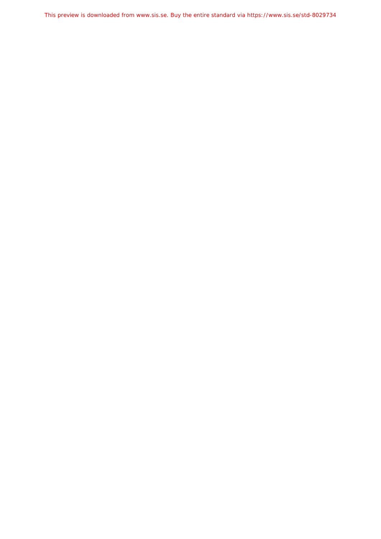This preview is downloaded from www.sis.se. Buy the entire standard via https://www.sis.se/std-8029734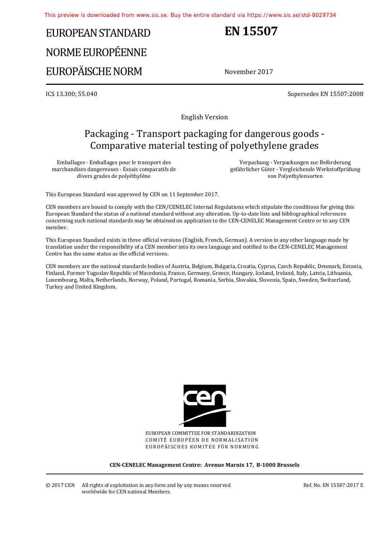# EUROPEAN STANDARD NORME EUROPÉENNE EUROPÄISCHE NORM

# **EN 15507**

November 2017

ICS 13.300; 55.040 Supersedes EN 15507:2008

English Version

## Packaging - Transport packaging for dangerous goods - Comparative material testing of polyethylene grades

Emballages - Emballages pour le transport des marchandises dangereuses - Essais comparatifs de divers grades de polyéthylène

Verpackung - Verpackungen zur Beförderung gefährlicher Güter - Vergleichende Werkstoffprüfung von Polyethylensorten

This European Standard was approved by CEN on 11 September 2017.

CEN members are bound to comply with the CEN/CENELEC Internal Regulations which stipulate the conditions for giving this European Standard the status of a national standard without any alteration. Up-to-date lists and bibliographical references concerning such national standards may be obtained on application to the CEN-CENELEC Management Centre or to any CEN member.

This European Standard exists in three official versions (English, French, German). A version in any other language made by translation under the responsibility of a CEN member into its own language and notified to the CEN-CENELEC Management Centre has the same status as the official versions.

CEN members are the national standards bodies of Austria, Belgium, Bulgaria, Croatia, Cyprus, Czech Republic, Denmark, Estonia, Finland, Former Yugoslav Republic of Macedonia, France, Germany, Greece, Hungary, Iceland, Ireland, Italy, Latvia, Lithuania, Luxembourg, Malta, Netherlands, Norway, Poland, Portugal, Romania, Serbia, Slovakia, Slovenia, Spain, Sweden, Switzerland, Turkey and United Kingdom.



EUROPEAN COMMITTEE FOR STANDARDIZATION COMITÉ EUROPÉEN DE NORMALISATION EUROPÄISCHES KOMITEE FÜR NORMUNG

**CEN-CENELEC Management Centre: Avenue Marnix 17, B-1000 Brussels**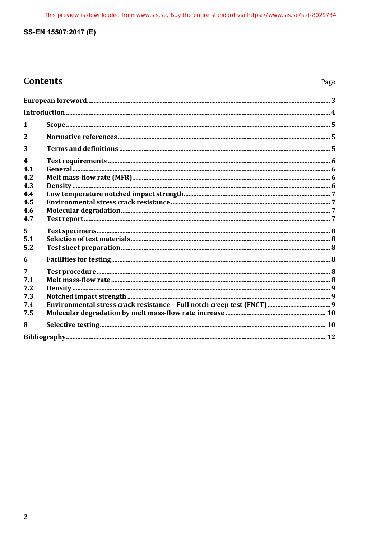## **Contents**

| ${\bf European\; foreword.}\label{prop:1} 3$ |  |  |  |
|----------------------------------------------|--|--|--|
|                                              |  |  |  |
| $\mathbf{1}$                                 |  |  |  |
| $\overline{2}$                               |  |  |  |
| 3                                            |  |  |  |
| $\overline{\mathbf{4}}$                      |  |  |  |
| 4.1                                          |  |  |  |
| 4.2                                          |  |  |  |
| 4.3                                          |  |  |  |
| 4.4                                          |  |  |  |
| 4.5                                          |  |  |  |
| 4.6                                          |  |  |  |
| 4.7                                          |  |  |  |
| $5^{\circ}$                                  |  |  |  |
| 5.1                                          |  |  |  |
| 5.2                                          |  |  |  |
| 6                                            |  |  |  |
| $\overline{7}$                               |  |  |  |
| 7.1                                          |  |  |  |
| 7.2                                          |  |  |  |
| 7.3                                          |  |  |  |
| 7.4                                          |  |  |  |
| 7.5                                          |  |  |  |
| 8                                            |  |  |  |
|                                              |  |  |  |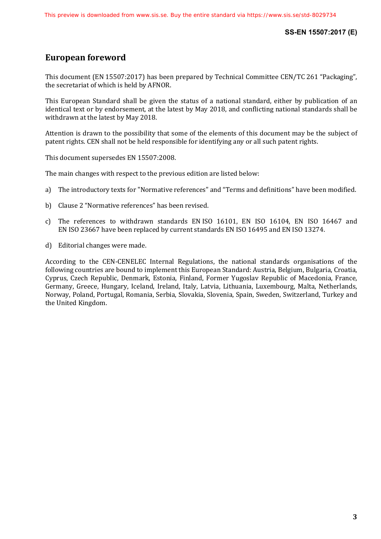## <span id="page-6-0"></span>**European foreword**

This document (EN 15507:2017) has been prepared by Technical Committee CEN/TC 261 "Packaging", the secretariat of which is held by AFNOR.

This European Standard shall be given the status of a national standard, either by publication of an identical text or by endorsement, at the latest by May 2018, and conflicting national standards shall be withdrawn at the latest by May 2018.

Attention is drawn to the possibility that some of the elements of this document may be the subject of patent rights. CEN shall not be held responsible for identifying any or all such patent rights.

This document supersedes EN 15507:2008.

The main changes with respect to the previous edition are listed below:

- a) The introductory texts for "Normative references" and "Terms and definitions" have been modified.
- b) Clause 2 "Normative references" has been revised.
- c) The references to withdrawn standards EN ISO 16101, EN ISO 16104, EN ISO 16467 and EN ISO 23667 have been replaced by current standards EN ISO 16495 and EN ISO 13274.
- d) Editorial changes were made.

According to the CEN-CENELEC Internal Regulations, the national standards organisations of the following countries are bound to implement this European Standard: Austria, Belgium, Bulgaria, Croatia, Cyprus, Czech Republic, Denmark, Estonia, Finland, Former Yugoslav Republic of Macedonia, France, Germany, Greece, Hungary, Iceland, Ireland, Italy, Latvia, Lithuania, Luxembourg, Malta, Netherlands, Norway, Poland, Portugal, Romania, Serbia, Slovakia, Slovenia, Spain, Sweden, Switzerland, Turkey and the United Kingdom.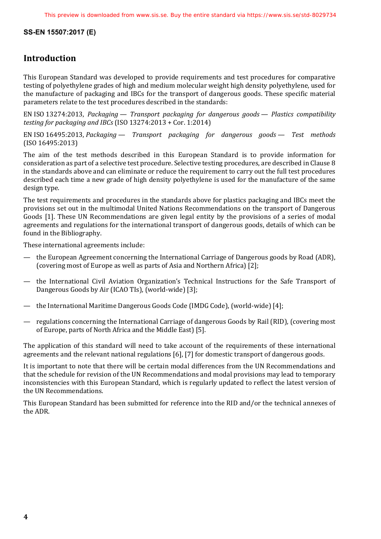## <span id="page-7-0"></span>**Introduction**

This European Standard was developed to provide requirements and test procedures for comparative testing of polyethylene grades of high and medium molecular weight high density polyethylene, used for the manufacture of packaging and IBCs for the transport of dangerous goods. These specific material parameters relate to the test procedures described in the standards:

EN ISO 13274:2013, *Packaging — Transport packaging for dangerous goods — Plastics compatibility testing for packaging and IBCs* (ISO 13274:2013 + Cor. 1:2014)

EN ISO 16495:2013, *Packaging — Transport packaging for dangerous goods — Test methods* (ISO 16495:2013)

The aim of the test methods described in this European Standard is to provide information for consideration as part of a selective test procedure. Selective testing procedures, are described in Clause 8 in the standards above and can eliminate or reduce the requirement to carry out the full test procedures described each time a new grade of high density polyethylene is used for the manufacture of the same design type.

The test requirements and procedures in the standards above for plastics packaging and IBCs meet the provisions set out in the multimodal United Nations Recommendations on the transport of Dangerous Goods [1]. These UN Recommendations are given legal entity by the provisions of a series of modal agreements and regulations for the international transport of dangerous goods, details of which can be found in the Bibliography.

These international agreements include:

- the European Agreement concerning the International Carriage of Dangerous goods by Road (ADR), (covering most of Europe as well as parts of Asia and Northern Africa) [2];
- the International Civil Aviation Organization's Technical Instructions for the Safe Transport of Dangerous Goods by Air (ICAO TIs), (world-wide) [3];
- the International Maritime Dangerous Goods Code (IMDG Code), (world-wide) [4];
- regulations concerning the International Carriage of dangerous Goods by Rail (RID), (covering most of Europe, parts of North Africa and the Middle East) [5].

The application of this standard will need to take account of the requirements of these international agreements and the relevant national regulations [6], [7] for domestic transport of dangerous goods.

It is important to note that there will be certain modal differences from the UN Recommendations and that the schedule for revision of the UN Recommendations and modal provisions may lead to temporary inconsistencies with this European Standard, which is regularly updated to reflect the latest version of the UN Recommendations.

This European Standard has been submitted for reference into the RID and/or the technical annexes of the ADR.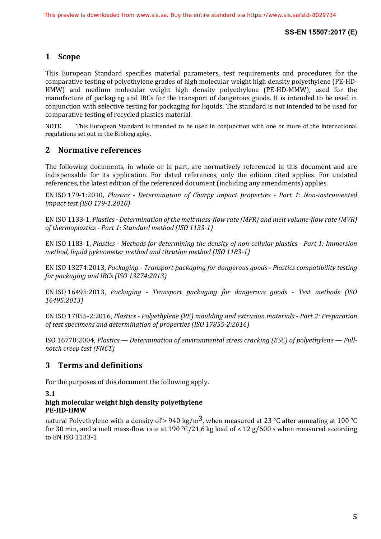## <span id="page-8-0"></span>**1 Scope**

This European Standard specifies material parameters, test requirements and procedures for the comparative testing of polyethylene grades of high molecular weight high density polyethylene (PE-HD-HMW) and medium molecular weight high density polyethylene (PE-HD-MMW), used for the manufacture of packaging and IBCs for the transport of dangerous goods. It is intended to be used in conjunction with selective testing for packaging for liquids. The standard is not intended to be used for comparative testing of recycled plastics material.

NOTE This European Standard is intended to be used in conjunction with one or more of the international regulations set out in the Bibliography.

## <span id="page-8-1"></span>**2 Normative references**

The following documents, in whole or in part, are normatively referenced in this document and are indispensable for its application. For dated references, only the edition cited applies. For undated references, the latest edition of the referenced document (including any amendments) applies.

EN ISO 179-1:2010, *Plastics - Determination of Charpy impact properties - Part 1: Non-instrumented impact test (ISO 179-1:2010)*

EN ISO 1133-1, *Plastics - Determination of the melt mass-flow rate (MFR) and melt volume-flow rate (MVR) of thermoplastics - Part 1: Standard method (ISO 1133-1)*

EN ISO 1183-1, *Plastics - Methods for determining the density of non-cellular plastics - Part 1: Immersion method, liquid pyknometer method and titration method (ISO 1183-1)*

EN ISO 13274:2013, *Packaging - Transport packaging for dangerous goods - Plastics compatibility testing for packaging and IBCs (ISO 13274:2013)*

EN ISO 16495:2013, *Packaging - Transport packaging for dangerous goods - Test methods (ISO 16495:2013)*

EN ISO 17855-2:2016, *Plastics - Polyethylene (PE) moulding and extrusion materials - Part 2: Preparation of test specimens and determination of properties (ISO 17855-2:2016)*

ISO 16770:2004, *Plastics — Determination of environmental stress cracking (ESC) of polyethylene — Fullnotch creep test (FNCT)*

## <span id="page-8-2"></span>**3 Terms and definitions**

For the purposes of this document the following apply.

#### **3.1**

#### **high molecular weight high density polyethylene PE-HD-HMW**

natural Polyethylene with a density of > 940 kg/m<sup>3</sup>, when measured at 23 °C after annealing at 100 °C for 30 min, and a melt mass-flow rate at 190 °C/21,6 kg load of < 12 g/600 s when measured according to EN ISO 1133-1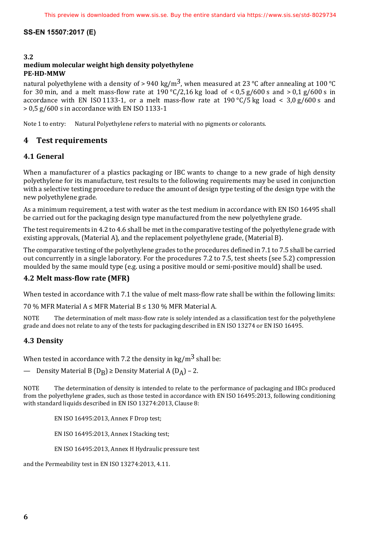#### **3.2 medium molecular weight high density polyethylene PE-HD-MMW**

natural polyethylene with a density of > 940 kg/m<sup>3</sup>, when measured at 23 °C after annealing at 100 °C for 30 min, and a melt mass-flow rate at 190 °C/2,16 kg load of < 0,5 g/600 s and > 0,1 g/600 s in accordance with EN ISO 1133-1, or a melt mass-flow rate at 190 °C/5 kg load  $\lt$  3,0 g/600 s and > 0,5 g/600 s in accordance with EN ISO 1133-1

Note 1 to entry: Natural Polyethylene refers to material with no pigments or colorants.

### <span id="page-9-0"></span>**4 Test requirements**

#### <span id="page-9-1"></span>**4.1 General**

When a manufacturer of a plastics packaging or IBC wants to change to a new grade of high density polyethylene for its manufacture, test results to the following requirements may be used in conjunction with a selective testing procedure to reduce the amount of design type testing of the design type with the new polyethylene grade.

As a minimum requirement, a test with water as the test medium in accordance with EN ISO 16495 shall be carried out for the packaging design type manufactured from the new polyethylene grade.

The test requirements in 4.2 to 4.6 shall be met in the comparative testing of the polyethylene grade with existing approvals, (Material A), and the replacement polyethylene grade, (Material B).

The comparative testing of the polyethylene grades to the procedures defined in 7.1 to 7.5 shall be carried out concurrently in a single laboratory. For the procedures 7.2 to 7.5, test sheets (see 5.2) compression moulded by the same mould type (e.g. using a positive mould or semi-positive mould) shall be used.

#### <span id="page-9-2"></span>**4.2 Melt mass-flow rate (MFR)**

When tested in accordance with 7.1 the value of melt mass-flow rate shall be within the following limits:

70 % MFR Material  $A \le MFR$  Material B  $\le 130$  % MFR Material A.

NOTE The determination of melt mass-flow rate is solely intended as a classification test for the polyethylene grade and does not relate to any of the tests for packaging described in EN ISO 13274 or EN ISO 16495.

#### <span id="page-9-3"></span>**4.3 Density**

When tested in accordance with 7.2 the density in  $\text{kg/m}^3$  shall be:

Density Material B  $(D_R) \geq$  Density Material A  $(D_A)$  – 2.

NOTE The determination of density is intended to relate to the performance of packaging and IBCs produced from the polyethylene grades, such as those tested in accordance with EN ISO 16495:2013, following conditioning with standard liquids described in EN ISO 13274:2013, Clause 8:

EN ISO 16495:2013, Annex F Drop test;

EN ISO 16495:2013, Annex I Stacking test;

EN ISO 16495:2013, Annex H Hydraulic pressure test

and the Permeability test in EN ISO 13274:2013, 4.11.